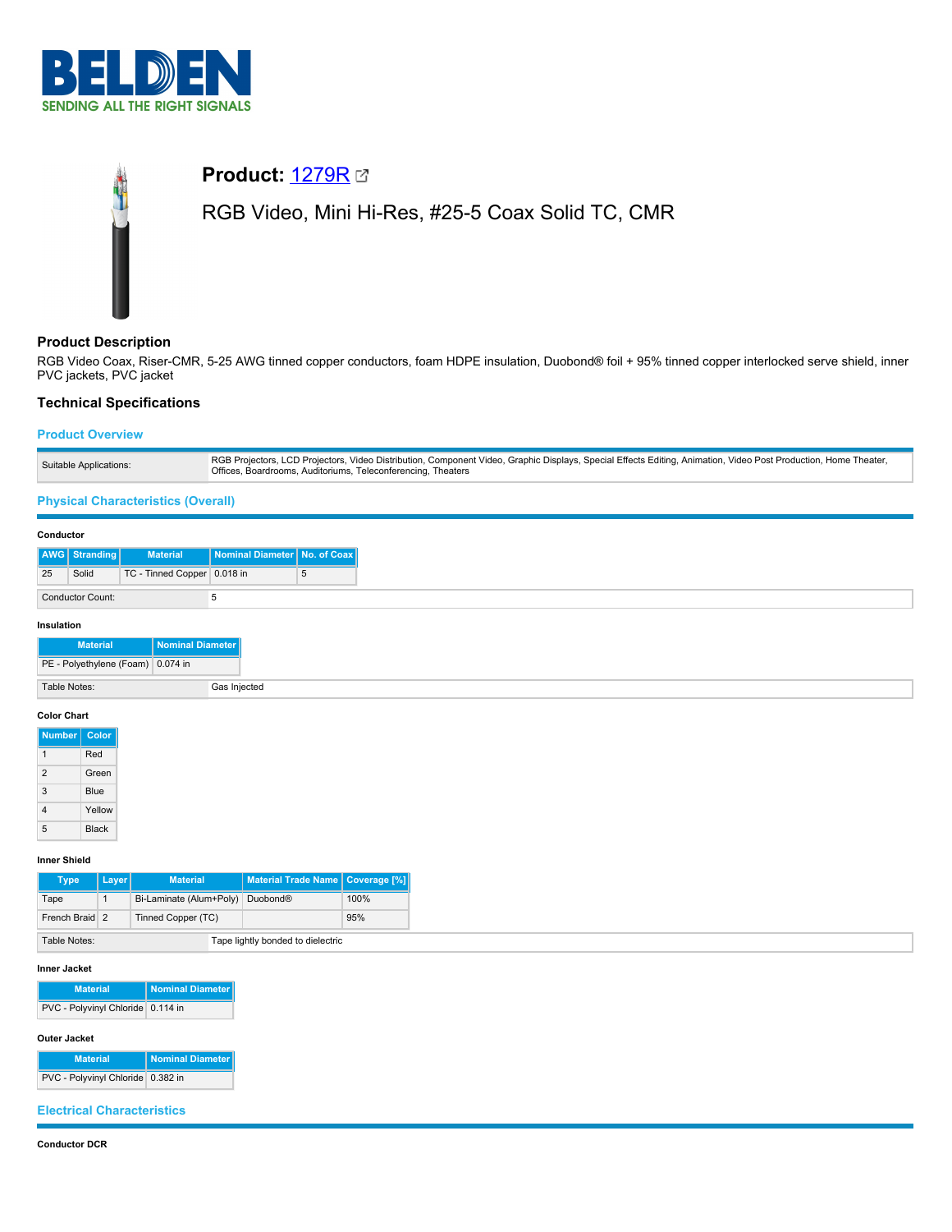

# **Product:** [1279R](https://catalog.belden.com/index.cfm?event=pd&p=PF_1279R&tab=downloads) RGB Video, Mini Hi-Res, #25-5 Coax Solid TC, CMR

# **Product Description**

RGB Video Coax, Riser-CMR, 5-25 AWG tinned copper conductors, foam HDPE insulation, Duobond® foil + 95% tinned copper interlocked serve shield, inner PVC jackets, PVC jacket

# **Technical Specifications**

# **Product Overview**

| Suitable Applications:<br>Offices, Boardrooms, Auditoriums, Teleconferencing, Theaters |  | RGB Projectors, LCD Projectors, Video Distribution, Component Video, Graphic Displays, Special Effects Editing, Animation, Video Post Production, Home Theater, |
|----------------------------------------------------------------------------------------|--|-----------------------------------------------------------------------------------------------------------------------------------------------------------------|
|----------------------------------------------------------------------------------------|--|-----------------------------------------------------------------------------------------------------------------------------------------------------------------|

# **Physical Characteristics (Overall)**

#### **Conductor**

|                   | AWG Stranding | <b>Material</b>             | Nominal Diameter No. of Coax |   |
|-------------------|---------------|-----------------------------|------------------------------|---|
| 25                | Solid         | TC - Tinned Copper 0.018 in |                              | 5 |
| Conductor Count:  |               |                             |                              |   |
| <b>Insulation</b> |               |                             |                              |   |

| <b>Material</b>                   | Nominal Diameter |
|-----------------------------------|------------------|
| PE - Polyethylene (Foam) 0.074 in |                  |
| Table Notes:                      | Gas Injected     |

## **Color Chart**

| Number         | Color        |
|----------------|--------------|
|                | Red          |
| $\overline{2}$ | Green        |
| 3              | Blue         |
| 4              | Yellow       |
| 5              | <b>Black</b> |

## **Inner Shield**

| Type           | Laver <sup>1</sup> | <b>Material</b>                  | Material Trade Name   Coverage [%] |      |
|----------------|--------------------|----------------------------------|------------------------------------|------|
| Tape           |                    | Bi-Laminate (Alum+Poly) Duobond® |                                    | 100% |
| French Braid 2 |                    | Tinned Copper (TC)               |                                    | 95%  |
| Table Notes:   |                    |                                  | Tape lightly bonded to dielectric  |      |

#### **Inner Jacket**

| <b>Material</b>                   | Nominal Diameter |  |
|-----------------------------------|------------------|--|
| PVC - Polyvinyl Chloride 0.114 in |                  |  |

## **Outer Jacket**

| <b>Material</b>                   | Nominal Diameter |
|-----------------------------------|------------------|
| PVC - Polyvinyl Chloride 0.382 in |                  |

## **Electrical Characteristics**

#### **Conductor DCR**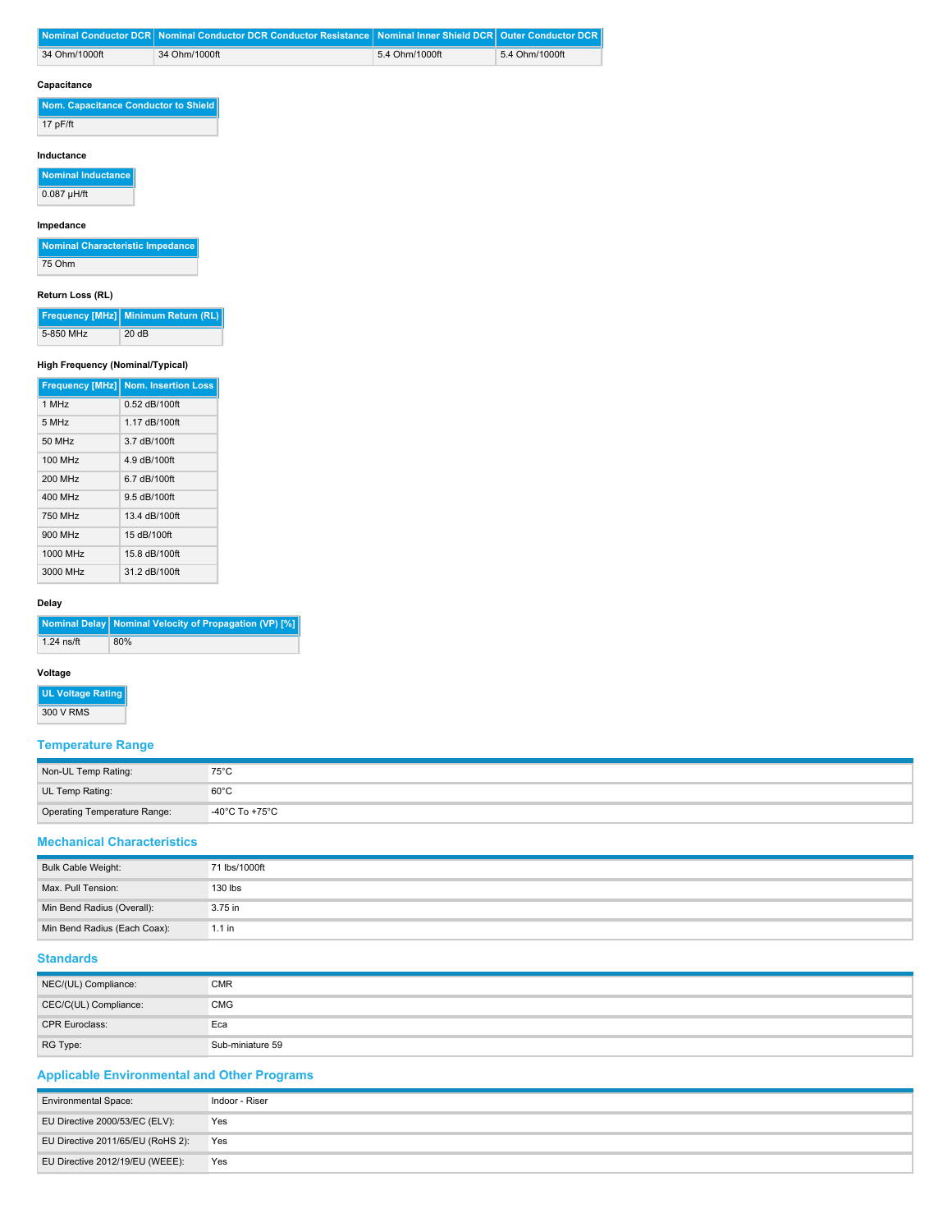|               | Nominal Conductor DCR Nominal Conductor DCR Conductor Resistance Nominal Inner Shield DCR   Outer Conductor DCR |                |                |
|---------------|-----------------------------------------------------------------------------------------------------------------|----------------|----------------|
| 34 Ohm/1000ft | 34 Ohm/1000ft                                                                                                   | 5.4 Ohm/1000ft | 5.4 Ohm/1000ft |
| Capacitance   |                                                                                                                 |                |                |

**Nom. Capacitance Conductor to Shield** 17 pF/ft

## **Inductance**

**Nominal Inductance**  $0.087$  µH/ft

# **Impedance**

| Nominal Characteristic Impedance |  |
|----------------------------------|--|
| 75 Ohm                           |  |

## **Return Loss (RL)**

|           | Frequency [MHz] Minimum Return (RL) |
|-----------|-------------------------------------|
| 5-850 MHz | 20 dB                               |

# **High Frequency (Nominal/Typical)**

|          | <b>Frequency [MHz] Nom. Insertion Loss</b> |
|----------|--------------------------------------------|
| 1 MHz    | 0.52 dB/100ft                              |
| 5 MHz    | 1.17 dB/100ft                              |
| 50 MHz   | 3.7 dB/100ft                               |
| 100 MHz  | 4.9 dB/100ft                               |
| 200 MHz  | 6.7 dB/100ft                               |
| 400 MHz  | 9.5 dB/100ft                               |
| 750 MHz  | 13.4 dB/100ft                              |
| 900 MHz  | 15 dB/100ft                                |
| 1000 MHz | 15.8 dB/100ft                              |
| 3000 MHz | 31.2 dB/100ft                              |

#### **Delay**

|            | Nominal Delay   Nominal Velocity of Propagation (VP) [%] |
|------------|----------------------------------------------------------|
| 1.24 ns/ft | 80%                                                      |

## **Voltage**

**UL Voltage Rating** 300 V RMS

# **Temperature Range**

| Non-UL Temp Rating:          | $75^{\circ}$ C |
|------------------------------|----------------|
| UL Temp Rating:              | $60^{\circ}$ C |
| Operating Temperature Range: | -40°C To +75°C |

### **Mechanical Characteristics**

| Bulk Cable Weight:           | 71 lbs/1000ft |
|------------------------------|---------------|
| Max. Pull Tension:           | 130 lbs       |
| Min Bend Radius (Overall):   | 3.75 in       |
| Min Bend Radius (Each Coax): | $1.1$ in      |

# **Standards**

| NEC/(UL) Compliance:  | <b>CMR</b>       |
|-----------------------|------------------|
| CEC/C(UL) Compliance: | <b>CMG</b>       |
| <b>CPR Euroclass:</b> | Eca              |
| RG Type:              | Sub-miniature 59 |

# **Applicable Environmental and Other Programs**

| <b>Environmental Space:</b>       | Indoor - Riser |
|-----------------------------------|----------------|
| EU Directive 2000/53/EC (ELV):    | Yes            |
| EU Directive 2011/65/EU (RoHS 2): | Yes            |
| EU Directive 2012/19/EU (WEEE):   | Yes            |